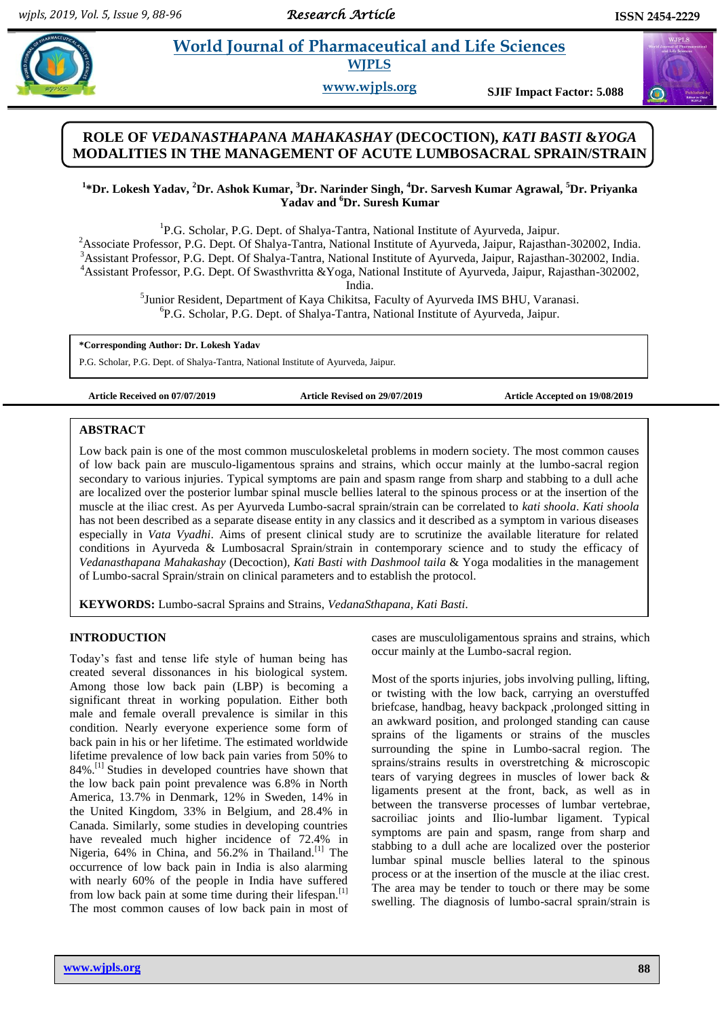$\bigcirc$ 

# **Property all and Sciences et al. 2016 et al. 2016 et al. 2016 et al. 2016 et al. 2016 et al. 2016 et al. 2016 et al. 2016 et al. 2016 et al. 2016 et al. 2016 et al. 2016 et al. 2016 et al. 2016 WJPLS**

**www.wjpls.org SJIF Impact Factor: 5.088**

# **ROLE OF** *VEDANASTHAPANA MAHAKASHAY* **(DECOCTION),** *KATI BASTI* **&***YOGA* **MODALITIES IN THE MANAGEMENT OF ACUTE LUMBOSACRAL SPRAIN/STRAIN**

## **1 \*Dr. Lokesh Yadav, <sup>2</sup>Dr. Ashok Kumar, <sup>3</sup>Dr. Narinder Singh, <sup>4</sup>Dr. Sarvesh Kumar Agrawal, <sup>5</sup>Dr. Priyanka Yadav and <sup>6</sup>Dr. Suresh Kumar**

<sup>1</sup>P.G. Scholar, P.G. Dept. of Shalya-Tantra, National Institute of Ayurveda, Jaipur. Associate Professor, P.G. Dept. Of Shalya-Tantra, National Institute of Ayurveda, Jaipur, Rajasthan-302002, India. Assistant Professor, P.G. Dept. Of Shalya-Tantra, National Institute of Ayurveda, Jaipur, Rajasthan-302002, India. Assistant Professor, P.G. Dept. Of Swasthvritta &Yoga, National Institute of Ayurveda, Jaipur, Rajasthan-302002,

India.

<sup>5</sup>Junior Resident, Department of Kaya Chikitsa, Faculty of Ayurveda IMS BHU, Varanasi. 6 P.G. Scholar, P.G. Dept. of Shalya-Tantra, National Institute of Ayurveda, Jaipur.

**\*Corresponding Author: Dr. Lokesh Yadav**

P.G. Scholar, P.G. Dept. of Shalya-Tantra, National Institute of Ayurveda, Jaipur.

**Article Received on 07/07/2019 Article Revised on 29/07/2019 Article Accepted on 19/08/2019**

## **ABSTRACT**

Low back pain is one of the most common musculoskeletal problems in modern society. The most common causes of low back pain are musculo-ligamentous sprains and strains, which occur mainly at the lumbo-sacral region secondary to various injuries. Typical symptoms are pain and spasm range from sharp and stabbing to a dull ache are localized over the posterior lumbar spinal muscle bellies lateral to the spinous process or at the insertion of the muscle at the iliac crest. As per Ayurveda Lumbo-sacral sprain/strain can be correlated to *kati shoola*. *Kati shoola* has not been described as a separate disease entity in any classics and it described as a symptom in various diseases especially in *Vata Vyadhi*. Aims of present clinical study are to scrutinize the available literature for related conditions in Ayurveda & Lumbosacral Sprain/strain in contemporary science and to study the efficacy of *Vedanasthapana Mahakashay* (Decoction)*, Kati Basti with Dashmool taila* & Yoga modalities in the management of Lumbo-sacral Sprain/strain on clinical parameters and to establish the protocol.

**KEYWORDS:** Lumbo-sacral Sprains and Strains, *VedanaSthapana, Kati Basti.*

## **INTRODUCTION**

Today"s fast and tense life style of human being has created several dissonances in his biological system. Among those low back pain (LBP) is becoming a significant threat in working population. Either both male and female overall prevalence is similar in this condition. Nearly everyone experience some form of back pain in his or her lifetime. The estimated worldwide lifetime prevalence of low back pain varies from 50% to 84%.[1] Studies in developed countries have shown that the low back pain point prevalence was 6.8% in North America, 13.7% in Denmark, 12% in Sweden, 14% in the United Kingdom, 33% in Belgium, and 28.4% in Canada. Similarly, some studies in developing countries have revealed much higher incidence of 72.4% in Nigeria, 64% in China, and 56.2% in Thailand.<sup>[1]</sup> The occurrence of low back pain in India is also alarming with nearly 60% of the people in India have suffered from low back pain at some time during their lifespan.<sup>[1]</sup> The most common causes of low back pain in most of cases are musculoligamentous sprains and strains, which occur mainly at the Lumbo-sacral region.

Most of the sports injuries, jobs involving pulling, lifting, or twisting with the low back, carrying an overstuffed briefcase, handbag, heavy backpack ,prolonged sitting in an awkward position, and prolonged standing can cause sprains of the ligaments or strains of the muscles surrounding the spine in Lumbo-sacral region. The sprains/strains results in overstretching & microscopic tears of varying degrees in muscles of lower back & ligaments present at the front, back, as well as in between the transverse processes of lumbar vertebrae, sacroiliac joints and Ilio-lumbar ligament. Typical symptoms are pain and spasm, range from sharp and stabbing to a dull ache are localized over the posterior lumbar spinal muscle bellies lateral to the spinous process or at the insertion of the muscle at the iliac crest. The area may be tender to touch or there may be some swelling. The diagnosis of lumbo-sacral sprain/strain is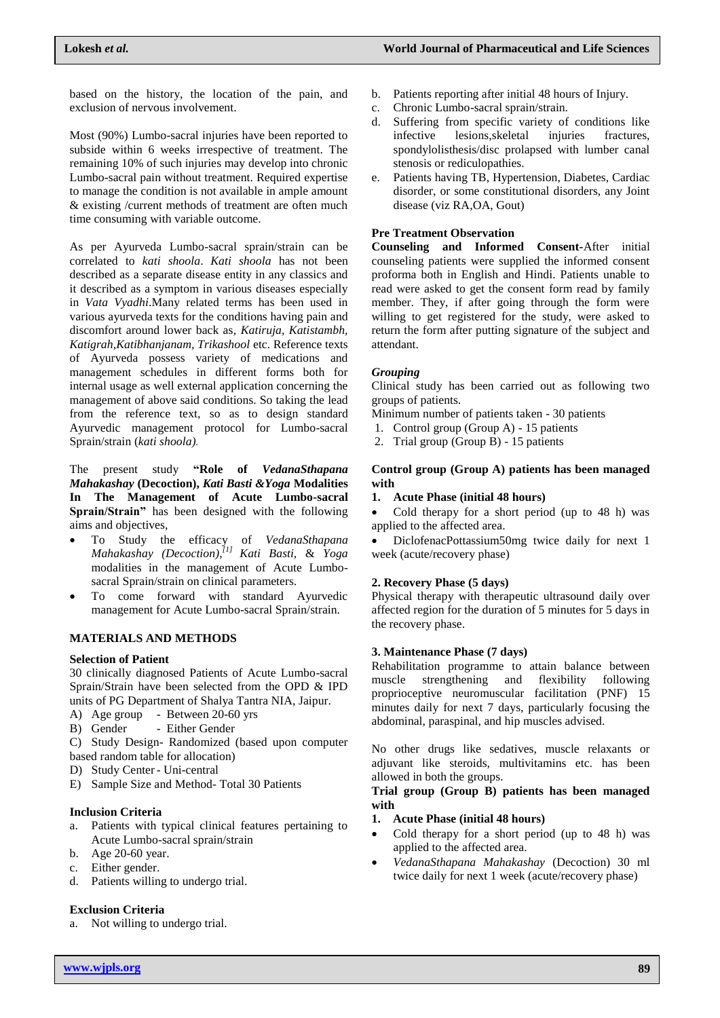based on the history, the location of the pain, and exclusion of nervous involvement.

Most (90%) Lumbo-sacral injuries have been reported to subside within 6 weeks irrespective of treatment. The remaining 10% of such injuries may develop into chronic Lumbo-sacral pain without treatment. Required expertise to manage the condition is not available in ample amount & existing /current methods of treatment are often much time consuming with variable outcome.

As per Ayurveda Lumbo-sacral sprain/strain can be correlated to *kati shoola*. *Kati shoola* has not been described as a separate disease entity in any classics and it described as a symptom in various diseases especially in *Vata Vyadhi*.Many related terms has been used in various ayurveda texts for the conditions having pain and discomfort around lower back as*, Katiruja, Katistambh, Katigrah,Katibhanjanam, Trikashool* etc. Reference texts of Ayurveda possess variety of medications and management schedules in different forms both for internal usage as well external application concerning the management of above said conditions. So taking the lead from the reference text, so as to design standard Ayurvedic management protocol for Lumbo-sacral Sprain/strain (*kati shoola).*

The present study **"Role of** *VedanaSthapana Mahakashay* **(Decoction),** *Kati Basti &Yoga* **Modalities In The Management of Acute Lumbo-sacral Sprain/Strain"** has been designed with the following aims and objectives,

- To Study the efficacy of *VedanaSthapana Mahakashay (Decoction), [1] Kati Basti,* & *Yoga* modalities in the management of Acute Lumbosacral Sprain/strain on clinical parameters.
- To come forward with standard Ayurvedic management for Acute Lumbo-sacral Sprain/strain.

#### **MATERIALS AND METHODS**

## **Selection of Patient**

30 clinically diagnosed Patients of Acute Lumbo-sacral Sprain/Strain have been selected from the OPD & IPD units of PG Department of Shalya Tantra NIA, Jaipur.

- A) Age group Between 20-60 yrs
- B) Gender Either Gender

C) Study Design- Randomized (based upon computer based random table for allocation)

- D) Study Center- Uni-central
- E) Sample Size and Method- Total 30 Patients

#### **Inclusion Criteria**

- a. Patients with typical clinical features pertaining to Acute Lumbo-sacral sprain/strain
- b. Age 20-60 year.
- c. Either gender.
- d. Patients willing to undergo trial.

#### **Exclusion Criteria**

a. Not willing to undergo trial.

- b. Patients reporting after initial 48 hours of Injury.
- c. Chronic Lumbo-sacral sprain/strain.
- d. Suffering from specific variety of conditions like infective lesions,skeletal injuries fractures, spondylolisthesis/disc prolapsed with lumber canal stenosis or rediculopathies.
- e. Patients having TB, Hypertension, Diabetes, Cardiac disorder, or some constitutional disorders, any Joint disease (viz RA,OA, Gout)

### **Pre Treatment Observation**

**Counseling and Informed Consent-**After initial counseling patients were supplied the informed consent proforma both in English and Hindi. Patients unable to read were asked to get the consent form read by family member. They, if after going through the form were willing to get registered for the study, were asked to return the form after putting signature of the subject and attendant.

#### *Grouping*

Clinical study has been carried out as following two groups of patients.

- Minimum number of patients taken 30 patients
- 1. Control group (Group A) 15 patients
- 2. Trial group (Group B) 15 patients

#### **Control group (Group A) patients has been managed with**

#### **1. Acute Phase (initial 48 hours)**

• Cold therapy for a short period (up to 48 h) was applied to the affected area.

 DiclofenacPottassium50mg twice daily for next 1 week (acute/recovery phase)

## **2. Recovery Phase (5 days)**

Physical therapy with therapeutic ultrasound daily over affected region for the duration of 5 minutes for 5 days in the recovery phase.

#### **3. Maintenance Phase (7 days)**

Rehabilitation programme to attain balance between muscle strengthening and flexibility following proprioceptive neuromuscular facilitation (PNF) 15 minutes daily for next 7 days, particularly focusing the abdominal, paraspinal, and hip muscles advised.

No other drugs like sedatives, muscle relaxants or adjuvant like steroids, multivitamins etc. has been allowed in both the groups.

## **Trial group (Group B) patients has been managed with**

- **1. Acute Phase (initial 48 hours)**
- Cold therapy for a short period (up to 48 h) was applied to the affected area.
- *VedanaSthapana Mahakashay* (Decoction) 30 ml twice daily for next 1 week (acute/recovery phase)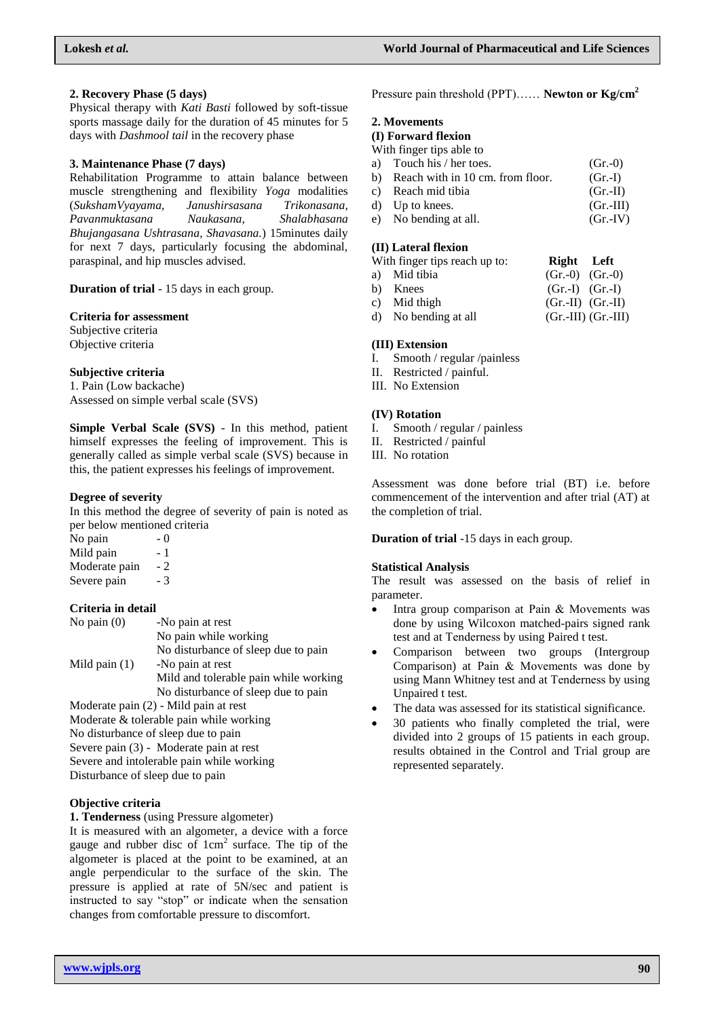#### **2. Recovery Phase (5 days)**

Physical therapy with *Kati Basti* followed by soft-tissue sports massage daily for the duration of 45 minutes for 5 days with *Dashmool tail* in the recovery phase

#### **3. Maintenance Phase (7 days)**

Rehabilitation Programme to attain balance between muscle strengthening and flexibility *Yoga* modalities (*SukshamVyayama, Janushirsasana Trikonasana, Pavanmuktasana Naukasana, Shalabhasana Bhujangasana Ushtrasana, Shavasana.*) 15minutes daily for next 7 days, particularly focusing the abdominal, paraspinal, and hip muscles advised.

**Duration of trial** - 15 days in each group.

#### **Criteria for assessment**

Subjective criteria Objective criteria

### **Subjective criteria**

1. Pain (Low backache) Assessed on simple verbal scale (SVS)

**Simple Verbal Scale (SVS)** - In this method, patient himself expresses the feeling of improvement. This is generally called as simple verbal scale (SVS) because in this, the patient expresses his feelings of improvement.

### **Degree of severity**

In this method the degree of severity of pain is noted as per below mentioned criteria

No pain  $-0$ Mild pain - 1 Moderate pain - 2 Severe pain - 3

## **Criteria in detail**

| No pain $(0)$   | -No pain at rest                                                                                                                                                                                                                                                                                                                  |
|-----------------|-----------------------------------------------------------------------------------------------------------------------------------------------------------------------------------------------------------------------------------------------------------------------------------------------------------------------------------|
|                 | No pain while working                                                                                                                                                                                                                                                                                                             |
|                 | No disturbance of sleep due to pain                                                                                                                                                                                                                                                                                               |
| Mild pain $(1)$ | -No pain at rest                                                                                                                                                                                                                                                                                                                  |
|                 | Mild and tolerable pain while working                                                                                                                                                                                                                                                                                             |
|                 | No disturbance of sleep due to pain                                                                                                                                                                                                                                                                                               |
|                 | $\mathbf{M}$ 1 $\mathbf{M}$ $\mathbf{M}$ $\mathbf{M}$ $\mathbf{M}$ $\mathbf{M}$ $\mathbf{M}$ $\mathbf{M}$ $\mathbf{M}$ $\mathbf{M}$ $\mathbf{M}$ $\mathbf{M}$ $\mathbf{M}$ $\mathbf{M}$ $\mathbf{M}$ $\mathbf{M}$ $\mathbf{M}$ $\mathbf{M}$ $\mathbf{M}$ $\mathbf{M}$ $\mathbf{M}$ $\mathbf{M}$ $\mathbf{M}$ $\mathbf{M}$ $\math$ |

Moderate pain (2) - Mild pain at rest Moderate & tolerable pain while working No disturbance of sleep due to pain Severe pain (3) - Moderate pain at rest Severe and intolerable pain while working Disturbance of sleep due to pain

## **Objective criteria**

**1. Tenderness** (using Pressure algometer)

It is measured with an algometer, a device with a force gauge and rubber disc of  $1 \text{ cm}^2$  surface. The tip of the algometer is placed at the point to be examined, at an angle perpendicular to the surface of the skin. The pressure is applied at rate of 5N/sec and patient is instructed to say "stop" or indicate when the sensation changes from comfortable pressure to discomfort.

Pressure pain threshold (PPT)…… **Newton or Kg/cm<sup>2</sup>**

## **2. Movements**

# **(I) Forward flexion**

With finger tips able to

| a) Touch his / her toes.            | $(Gr.-0)$  |
|-------------------------------------|------------|
| b) Reach with in 10 cm. from floor. | $(Gr.-I)$  |
| c) Reach mid tibia                  | $(Gr.-II)$ |
|                                     |            |

d) Up to knees. (Gr.-III) e) No bending at all. (Gr.-IV)

## **(II) Lateral flexion**

| With finger tips reach up to: | Right Left          |                                                                                       |
|-------------------------------|---------------------|---------------------------------------------------------------------------------------|
| a) Mid tibia                  | $(Gr.-0)$ $(Gr.-0)$ |                                                                                       |
| b) Knees                      |                     | $(Gr.-I)$ $(Gr.-I)$                                                                   |
| $\alpha$ Mid thigh            |                     | $(C_{\bullet} \text{ } \text{I} \text{I})$ $(C_{\bullet} \text{ } \text{I} \text{I})$ |

c) Mid thigh  $(Gr.-II)$   $(Gr.-II)$ d) No bending at all (Gr.-III) (Gr.-III)

#### **(III) Extension**

- I. Smooth / regular /painless
- II. Restricted / painful.
- III. No Extension

### **(IV) Rotation**

- I. Smooth / regular / painless
- II. Restricted / painful
- III. No rotation

Assessment was done before trial (BT) i.e. before commencement of the intervention and after trial (AT) at the completion of trial.

**Duration of trial** -15 days in each group.

#### **Statistical Analysis**

The result was assessed on the basis of relief in parameter.

- Intra group comparison at Pain & Movements was done by using Wilcoxon matched-pairs signed rank test and at Tenderness by using Paired t test.
- Comparison between two groups (Intergroup Comparison) at Pain & Movements was done by using Mann Whitney test and at Tenderness by using Unpaired t test.
- The data was assessed for its statistical significance.
- 30 patients who finally completed the trial, were divided into 2 groups of 15 patients in each group. results obtained in the Control and Trial group are represented separately.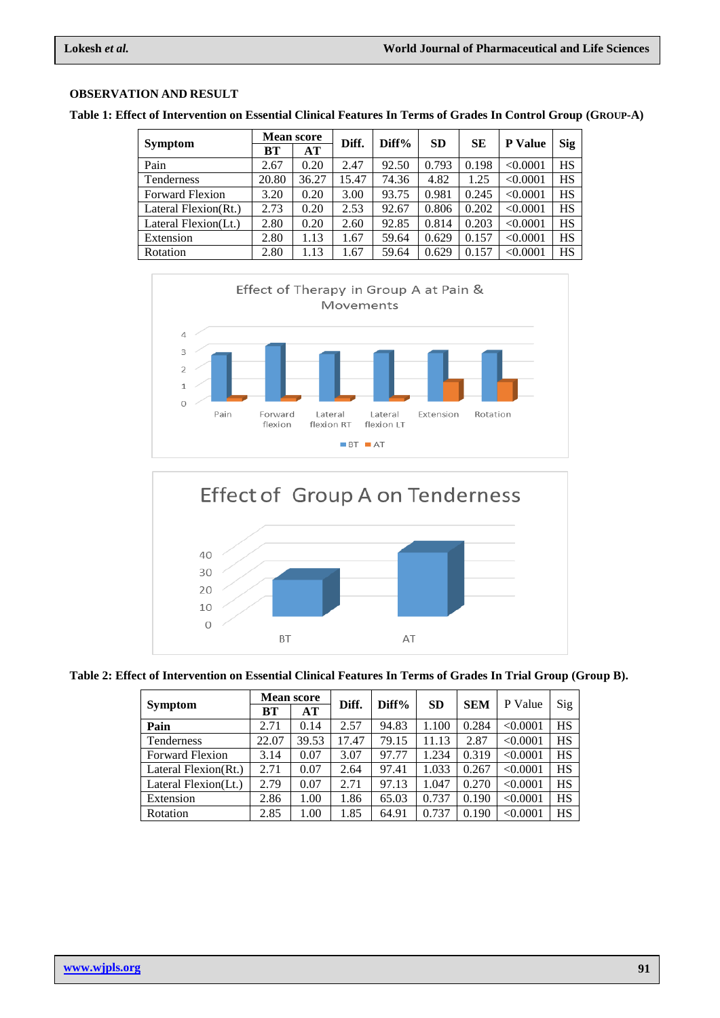# **OBSERVATION AND RESULT**

**Table 1: Effect of Intervention on Essential Clinical Features In Terms of Grades In Control Group (GROUP-A)**

|                        | <b>Mean score</b> |       | Diff. | Diff% | <b>SD</b> | <b>SE</b> | <b>P</b> Value | <b>Sig</b> |
|------------------------|-------------------|-------|-------|-------|-----------|-----------|----------------|------------|
| <b>Symptom</b>         | BT                | AT    |       |       |           |           |                |            |
| Pain                   | 2.67              | 0.20  | 2.47  | 92.50 | 0.793     | 0.198     | < 0.0001       | HS         |
| Tenderness             | 20.80             | 36.27 | 15.47 | 74.36 | 4.82      | 1.25      | < 0.0001       | HS         |
| <b>Forward Flexion</b> | 3.20              | 0.20  | 3.00  | 93.75 | 0.981     | 0.245     | < 0.0001       | <b>HS</b>  |
| Lateral Flexion(Rt.)   | 2.73              | 0.20  | 2.53  | 92.67 | 0.806     | 0.202     | < 0.0001       | HS         |
| Lateral Flexion(Lt.)   | 2.80              | 0.20  | 2.60  | 92.85 | 0.814     | 0.203     | < 0.0001       | HS         |
| Extension              | 2.80              | 1.13  | 1.67  | 59.64 | 0.629     | 0.157     | < 0.0001       | HS         |
| Rotation               | 2.80              | 1.13  | 1.67  | 59.64 | 0.629     | 0.157     | < 0.0001       | HS         |





|                        | <b>Mean score</b> |       | Diff. | Diff% | <b>SD</b> | <b>SEM</b> | P Value  | Sig       |
|------------------------|-------------------|-------|-------|-------|-----------|------------|----------|-----------|
| <b>Symptom</b>         | BТ                | AT    |       |       |           |            |          |           |
| Pain                   | 2.71              | 0.14  | 2.57  | 94.83 | 1.100     | 0.284      | < 0.0001 | <b>HS</b> |
| Tenderness             | 22.07             | 39.53 | 17.47 | 79.15 | 11.13     | 2.87       | < 0.0001 | <b>HS</b> |
| <b>Forward Flexion</b> | 3.14              | 0.07  | 3.07  | 97.77 | 1.234     | 0.319      | < 0.0001 | <b>HS</b> |
| Lateral Flexion(Rt.)   | 2.71              | 0.07  | 2.64  | 97.41 | 1.033     | 0.267      | < 0.0001 | <b>HS</b> |
| Lateral Flexion(Lt.)   | 2.79              | 0.07  | 2.71  | 97.13 | 1.047     | 0.270      | < 0.0001 | <b>HS</b> |
| Extension              | 2.86              | 1.00  | 1.86  | 65.03 | 0.737     | 0.190      | < 0.0001 | <b>HS</b> |
| Rotation               | 2.85              | 1.00  | 1.85  | 64.91 | 0.737     | 0.190      | < 0.0001 | HS        |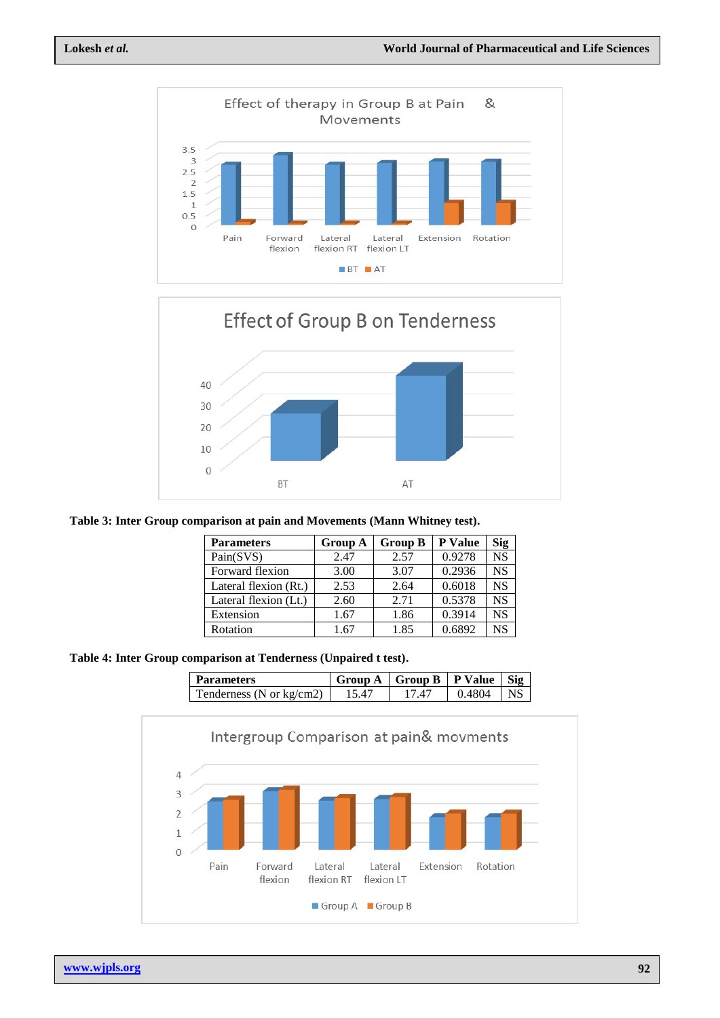



**Table 3: Inter Group comparison at pain and Movements (Mann Whitney test).**

| <b>Parameters</b>     | <b>Group A</b> | <b>Group B</b> | <b>P</b> Value | Sig       |
|-----------------------|----------------|----------------|----------------|-----------|
| Pain(SVS)             | 2.47           | 2.57           | 0.9278         | <b>NS</b> |
| Forward flexion       | 3.00           | 3.07           | 0.2936         | <b>NS</b> |
| Lateral flexion (Rt.) | 2.53           | 2.64           | 0.6018         | <b>NS</b> |
| Lateral flexion (Lt.) | 2.60           | 2.71           | 0.5378         | <b>NS</b> |
| Extension             | 1.67           | 1.86           | 0.3914         | NS        |
| Rotation              | 1.67           | 1.85           | 0.6892         | NS        |

**Table 4: Inter Group comparison at Tenderness (Unpaired t test).**

| Parameters               | Group A | <b>Group B</b> | P Value | Siσ. |
|--------------------------|---------|----------------|---------|------|
| Tenderness (N or kg/cm2) |         |                | 4804    |      |

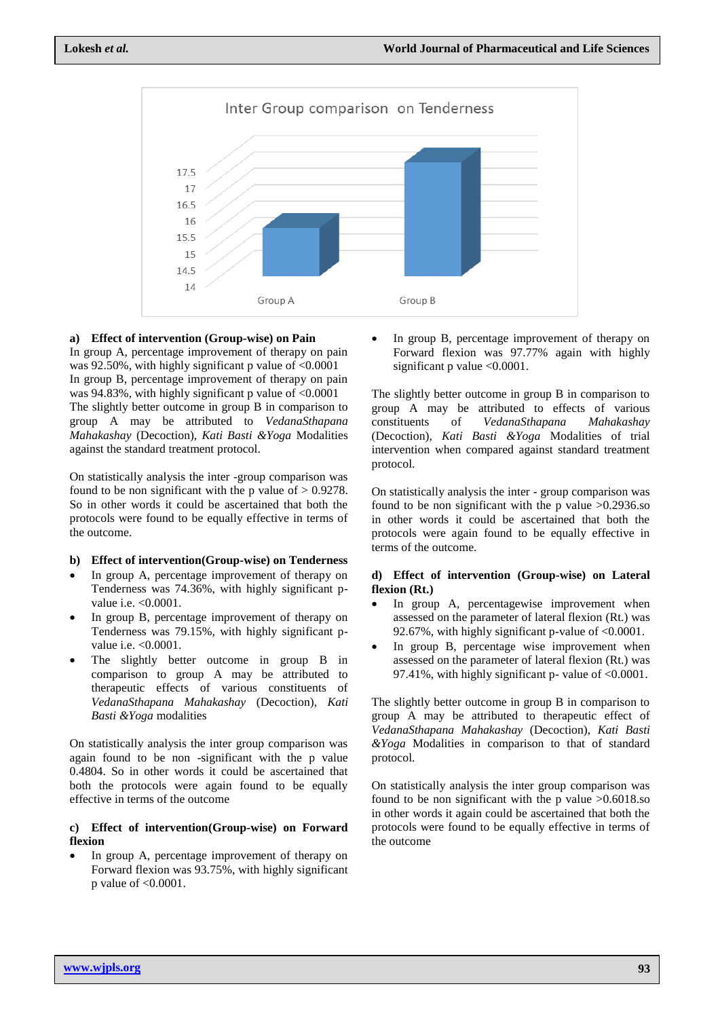

#### **a) Effect of intervention (Group-wise) on Pain**

In group A, percentage improvement of therapy on pain was 92.50%, with highly significant p value of  $\leq 0.0001$ In group B, percentage improvement of therapy on pain was 94.83%, with highly significant p value of  $\leq 0.0001$ The slightly better outcome in group B in comparison to group A may be attributed to *VedanaSthapana Mahakashay* (Decoction), *Kati Basti &Yoga* Modalities against the standard treatment protocol.

On statistically analysis the inter -group comparison was found to be non significant with the p value of  $> 0.9278$ . So in other words it could be ascertained that both the protocols were found to be equally effective in terms of the outcome.

#### **b) Effect of intervention(Group-wise) on Tenderness**

- In group A, percentage improvement of therapy on Tenderness was 74.36%, with highly significant pvalue i.e. < 0.0001.
- In group B, percentage improvement of therapy on Tenderness was 79.15%, with highly significant pvalue i.e. <0.0001.
- The slightly better outcome in group B in comparison to group A may be attributed to therapeutic effects of various constituents of *VedanaSthapana Mahakashay* (Decoction), *Kati Basti &Yoga* modalities

On statistically analysis the inter group comparison was again found to be non -significant with the p value 0.4804. So in other words it could be ascertained that both the protocols were again found to be equally effective in terms of the outcome

#### **c) Effect of intervention(Group-wise) on Forward flexion**

 In group A, percentage improvement of therapy on Forward flexion was 93.75%, with highly significant p value of <0.0001.

 In group B, percentage improvement of therapy on Forward flexion was 97.77% again with highly significant p value <0.0001.

The slightly better outcome in group B in comparison to group A may be attributed to effects of various constituents of *VedanaSthapana Mahakashay* (Decoction), *Kati Basti &Yoga* Modalities of trial intervention when compared against standard treatment protocol.

On statistically analysis the inter - group comparison was found to be non significant with the p value  $>0.2936$  so in other words it could be ascertained that both the protocols were again found to be equally effective in terms of the outcome.

#### **d) Effect of intervention (Group-wise) on Lateral flexion (Rt.)**

- In group A, percentagewise improvement when assessed on the parameter of lateral flexion (Rt.) was 92.67%, with highly significant p-value of <0.0001.
- In group B, percentage wise improvement when assessed on the parameter of lateral flexion (Rt.) was 97.41%, with highly significant p- value of <0.0001.

The slightly better outcome in group B in comparison to group A may be attributed to therapeutic effect of *VedanaSthapana Mahakashay* (Decoction), *Kati Basti &Yoga* Modalities in comparison to that of standard protocol.

On statistically analysis the inter group comparison was found to be non significant with the p value >0.6018.so in other words it again could be ascertained that both the protocols were found to be equally effective in terms of the outcome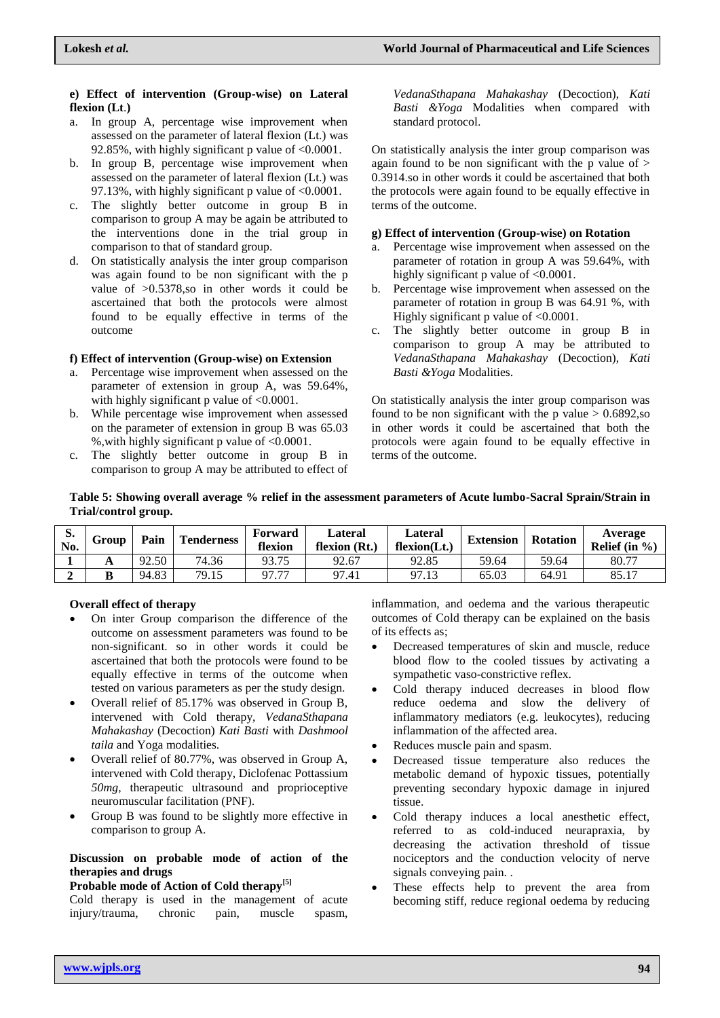#### **e) Effect of intervention (Group-wise) on Lateral flexion (Lt**.**)**

- a. In group A, percentage wise improvement when assessed on the parameter of lateral flexion (Lt.) was 92.85%, with highly significant p value of  $\leq 0.0001$ .
- b. In group B, percentage wise improvement when assessed on the parameter of lateral flexion (Lt.) was 97.13%, with highly significant p value of <0.0001.
- c. The slightly better outcome in group B in comparison to group A may be again be attributed to the interventions done in the trial group in comparison to that of standard group.
- d. On statistically analysis the inter group comparison was again found to be non significant with the p value of >0.5378,so in other words it could be ascertained that both the protocols were almost found to be equally effective in terms of the outcome

## **f) Effect of intervention (Group-wise) on Extension**

- a. Percentage wise improvement when assessed on the parameter of extension in group A, was 59.64%, with highly significant p value of  $\langle 0.0001$ .
- b. While percentage wise improvement when assessed on the parameter of extension in group B was 65.03 %,with highly significant p value of <0.0001.
- c. The slightly better outcome in group B in comparison to group A may be attributed to effect of

*VedanaSthapana Mahakashay* (Decoction), *Kati Basti &Yoga* Modalities when compared with standard protocol.

On statistically analysis the inter group comparison was again found to be non significant with the p value of  $>$ 0.3914.so in other words it could be ascertained that both the protocols were again found to be equally effective in terms of the outcome.

## **g) Effect of intervention (Group-wise) on Rotation**

- a. Percentage wise improvement when assessed on the parameter of rotation in group A was 59.64%, with highly significant p value of  $<0.0001$ .
- b. Percentage wise improvement when assessed on the parameter of rotation in group B was 64.91 %, with Highly significant p value of  $\leq 0.0001$ .
- c. The slightly better outcome in group B in comparison to group A may be attributed to *VedanaSthapana Mahakashay* (Decoction), *Kati Basti &Yoga* Modalities.

On statistically analysis the inter group comparison was found to be non significant with the p value  $> 0.6892$ , so in other words it could be ascertained that both the protocols were again found to be equally effective in terms of the outcome.

## **Table 5: Showing overall average % relief in the assessment parameters of Acute lumbo-Sacral Sprain/Strain in Trial/control group.**

| D.<br>No. | Group | Pain  | <b>Tenderness</b> | Forward<br>flexion | Lateral<br>flexion (Rt.) | Lateral<br>flexion(Lt.) | <b>Extension</b> | <b>Rotation</b> | Average<br>Relief $(in %)$ |
|-----------|-------|-------|-------------------|--------------------|--------------------------|-------------------------|------------------|-----------------|----------------------------|
|           | A     | 92.50 | 74.36             | 93.75              | 92.67                    | 92.85                   | 59.64            | 59.64           | 80.77                      |
|           | В     | 94.83 | 79.15             | 97.77              | 97.41                    | 97.13                   | 65.03            | 64.91           | 85.17                      |

# **Overall effect of therapy**

- On inter Group comparison the difference of the outcome on assessment parameters was found to be non-significant. so in other words it could be ascertained that both the protocols were found to be equally effective in terms of the outcome when tested on various parameters as per the study design.
- Overall relief of 85.17% was observed in Group B, intervened with Cold therapy, *VedanaSthapana Mahakashay* (Decoction) *Kati Basti* with *Dashmool taila* and Yoga modalities.
- Overall relief of 80.77%, was observed in Group A, intervened with Cold therapy, Diclofenac Pottassium *50mg,* therapeutic ultrasound and proprioceptive neuromuscular facilitation (PNF).
- Group B was found to be slightly more effective in comparison to group A.

## **Discussion on probable mode of action of the therapies and drugs**

# **Probable mode of Action of Cold therapy[5]**

Cold therapy is used in the management of acute injury/trauma, chronic pain, muscle spasm,

inflammation, and oedema and the various therapeutic outcomes of Cold therapy can be explained on the basis of its effects as;

- Decreased temperatures of skin and muscle, reduce blood flow to the cooled tissues by activating a sympathetic vaso-constrictive reflex.
- Cold therapy induced decreases in blood flow reduce oedema and slow the delivery of inflammatory mediators (e.g. leukocytes), reducing inflammation of the affected area.
- Reduces muscle pain and spasm.
- Decreased tissue temperature also reduces the metabolic demand of hypoxic tissues, potentially preventing secondary hypoxic damage in injured tissue.
- Cold therapy induces a local anesthetic effect, referred to as cold-induced neurapraxia, by decreasing the activation threshold of tissue nociceptors and the conduction velocity of nerve signals conveying pain. .
- These effects help to prevent the area from becoming stiff, reduce regional oedema by reducing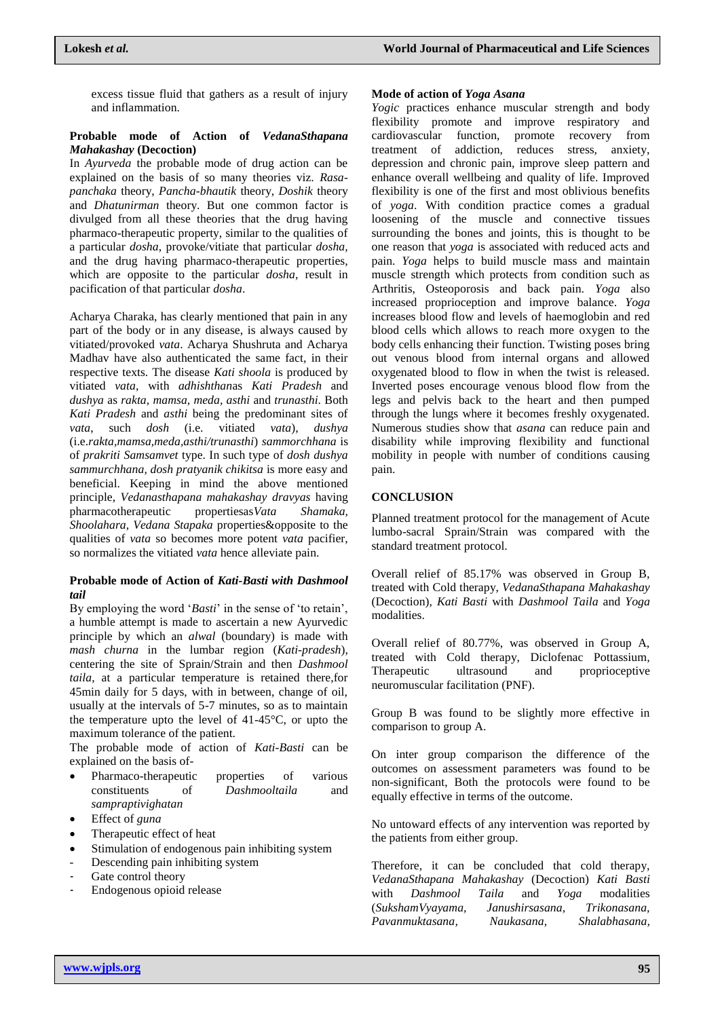excess tissue fluid that gathers as a result of injury and inflammation.

## **Probable mode of Action of** *VedanaSthapana Mahakashay* **(Decoction)**

In *Ayurveda* the probable mode of drug action can be explained on the basis of so many theories viz. *Rasapanchaka* theory, *Pancha-bhautik* theory, *Doshik* theory and *Dhatunirman* theory. But one common factor is divulged from all these theories that the drug having pharmaco-therapeutic property, similar to the qualities of a particular *dosha*, provoke/vitiate that particular *dosha,* and the drug having pharmaco-therapeutic properties, which are opposite to the particular *dosha,* result in pacification of that particular *dosha*.

Acharya Charaka, has clearly mentioned that pain in any part of the body or in any disease, is always caused by vitiated/provoked *vata*. Acharya Shushruta and Acharya Madhav have also authenticated the same fact, in their respective texts. The disease *Kati shoola* is produced by vitiated *vata,* with *adhishthan*as *Kati Pradesh* and *dushya* as *rakta, mamsa, meda, asthi* and *trunasthi*. Both *Kati Pradesh* and *asthi* being the predominant sites of *vata*, such *dosh* (i.e. vitiated *vata*), *dushya*  (i.e.*rakta,mamsa,meda,asthi/trunasthi*) *sammorchhana* is of *prakriti Samsamvet* type. In such type of *dosh dushya sammurchhana, dosh pratyanik chikitsa* is more easy and beneficial. Keeping in mind the above mentioned principle, *Vedanasthapana mahakashay dravyas* having pharmacotherapeutic propertiesas*Vata Shamaka, Shoolahara, Vedana Stapaka* properties&opposite to the qualities of *vata* so becomes more potent *vata* pacifier, so normalizes the vitiated *vata* hence alleviate pain.

## **Probable mode of Action of** *Kati-Basti with Dashmool tail*

By employing the word '*Basti*' in the sense of 'to retain', a humble attempt is made to ascertain a new Ayurvedic principle by which an *alwal* (boundary) is made with *mash churna* in the lumbar region (*Kati-pradesh*), centering the site of Sprain/Strain and then *Dashmool taila*, at a particular temperature is retained there,for 45min daily for 5 days, with in between, change of oil, usually at the intervals of 5-7 minutes, so as to maintain the temperature upto the level of 41-45°C, or upto the maximum tolerance of the patient.

The probable mode of action of *Kati-Basti* can be explained on the basis of-

- Pharmaco-therapeutic properties of various constituents of *Dashmooltaila* and *sampraptivighatan*
- Effect of *guna*
- Therapeutic effect of heat
- Stimulation of endogenous pain inhibiting system
- Descending pain inhibiting system
- Gate control theory
- Endogenous opioid release

#### **Mode of action of** *Yoga Asana*

*Yogic* practices enhance muscular strength and body flexibility promote and improve respiratory and cardiovascular function, promote recovery from treatment of addiction, reduces stress, anxiety, depression and chronic pain, improve sleep pattern and enhance overall wellbeing and quality of life. Improved flexibility is one of the first and most oblivious benefits of *yoga*. With condition practice comes a gradual loosening of the muscle and connective tissues surrounding the bones and joints, this is thought to be one reason that *yoga* is associated with reduced acts and pain. *Yoga* helps to build muscle mass and maintain muscle strength which protects from condition such as Arthritis, Osteoporosis and back pain. *Yoga* also increased proprioception and improve balance. *Yoga* increases blood flow and levels of haemoglobin and red blood cells which allows to reach more oxygen to the body cells enhancing their function. Twisting poses bring out venous blood from internal organs and allowed oxygenated blood to flow in when the twist is released. Inverted poses encourage venous blood flow from the legs and pelvis back to the heart and then pumped through the lungs where it becomes freshly oxygenated. Numerous studies show that *asana* can reduce pain and disability while improving flexibility and functional mobility in people with number of conditions causing pain.

## **CONCLUSION**

Planned treatment protocol for the management of Acute lumbo-sacral Sprain/Strain was compared with the standard treatment protocol.

Overall relief of 85.17% was observed in Group B, treated with Cold therapy, *VedanaSthapana Mahakashay* (Decoction), *Kati Basti* with *Dashmool Taila* and *Yoga* modalities.

Overall relief of 80.77%, was observed in Group A, treated with Cold therapy, Diclofenac Pottassium*,*  Therapeutic ultrasound and proprioceptive neuromuscular facilitation (PNF).

Group B was found to be slightly more effective in comparison to group A.

On inter group comparison the difference of the outcomes on assessment parameters was found to be non-significant, Both the protocols were found to be equally effective in terms of the outcome.

No untoward effects of any intervention was reported by the patients from either group.

Therefore, it can be concluded that cold therapy, *VedanaSthapana Mahakashay* (Decoction) *Kati Basti* with *Dashmool Taila* and *Yoga* modalities (*SukshamVyayama, Janushirsasana, Trikonasana, Pavanmuktasana, Naukasana, Shalabhasana,*